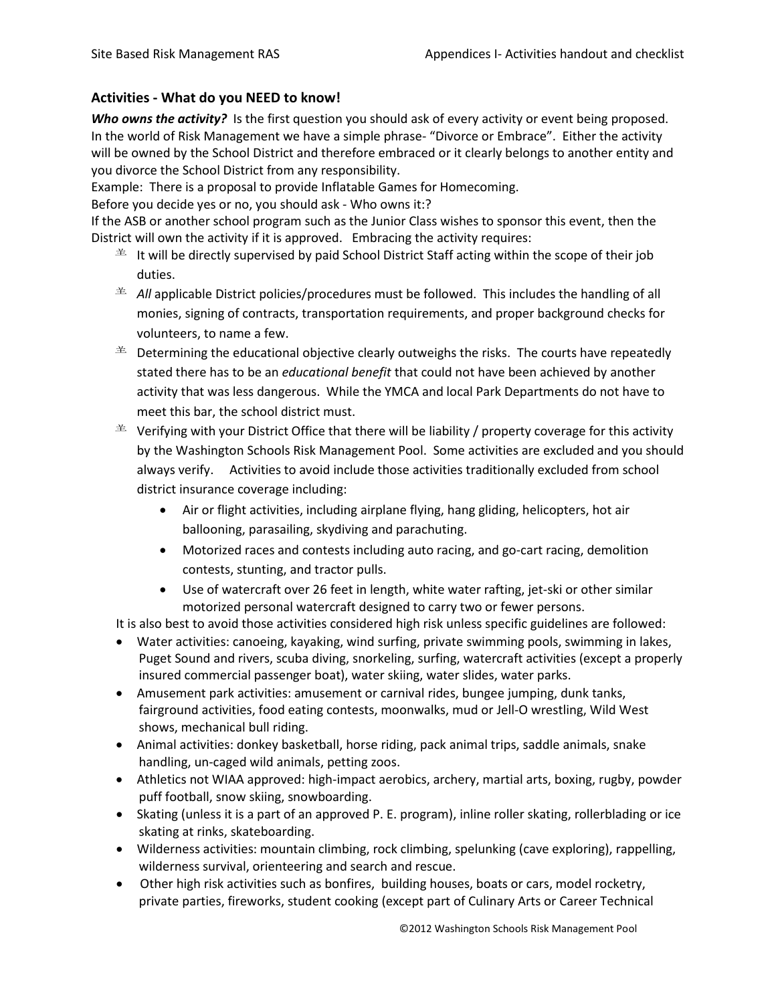## **Activities - What do you NEED to know!**

*Who owns the activity?* Is the first question you should ask of every activity or event being proposed. In the world of Risk Management we have a simple phrase- "Divorce or Embrace". Either the activity will be owned by the School District and therefore embraced or it clearly belongs to another entity and you divorce the School District from any responsibility.

Example: There is a proposal to provide Inflatable Games for Homecoming.

Before you decide yes or no, you should ask - Who owns it:?

If the ASB or another school program such as the Junior Class wishes to sponsor this event, then the District will own the activity if it is approved. Embracing the activity requires:

- $\triangleq$  It will be directly supervised by paid School District Staff acting within the scope of their job duties.
- $\pm$  *All* applicable District policies/procedures must be followed. This includes the handling of all monies, signing of contracts, transportation requirements, and proper background checks for volunteers, to name a few.
- $\triangleq$  Determining the educational objective clearly outweighs the risks. The courts have repeatedly stated there has to be an *educational benefit* that could not have been achieved by another activity that was less dangerous. While the YMCA and local Park Departments do not have to meet this bar, the school district must.
- $\triangleq$  Verifying with your District Office that there will be liability / property coverage for this activity by the Washington Schools Risk Management Pool. Some activities are excluded and you should always verify. Activities to avoid include those activities traditionally excluded from school district insurance coverage including:
	- Air or flight activities, including airplane flying, hang gliding, helicopters, hot air ballooning, parasailing, skydiving and parachuting.
	- Motorized races and contests including auto racing, and go-cart racing, demolition contests, stunting, and tractor pulls.
	- Use of watercraft over 26 feet in length, white water rafting, jet-ski or other similar motorized personal watercraft designed to carry two or fewer persons.

It is also best to avoid those activities considered high risk unless specific guidelines are followed:

- Water activities: canoeing, kayaking, wind surfing, private swimming pools, swimming in lakes, Puget Sound and rivers, scuba diving, snorkeling, surfing, watercraft activities (except a properly insured commercial passenger boat), water skiing, water slides, water parks.
- Amusement park activities: amusement or carnival rides, bungee jumping, dunk tanks, fairground activities, food eating contests, moonwalks, mud or Jell-O wrestling, Wild West shows, mechanical bull riding.
- Animal activities: donkey basketball, horse riding, pack animal trips, saddle animals, snake handling, un-caged wild animals, petting zoos.
- Athletics not WIAA approved: high-impact aerobics, archery, martial arts, boxing, rugby, powder puff football, snow skiing, snowboarding.
- Skating (unless it is a part of an approved P. E. program), inline roller skating, rollerblading or ice skating at rinks, skateboarding.
- Wilderness activities: mountain climbing, rock climbing, spelunking (cave exploring), rappelling, wilderness survival, orienteering and search and rescue.
- Other high risk activities such as bonfires, building houses, boats or cars, model rocketry, private parties, fireworks, student cooking (except part of Culinary Arts or Career Technical